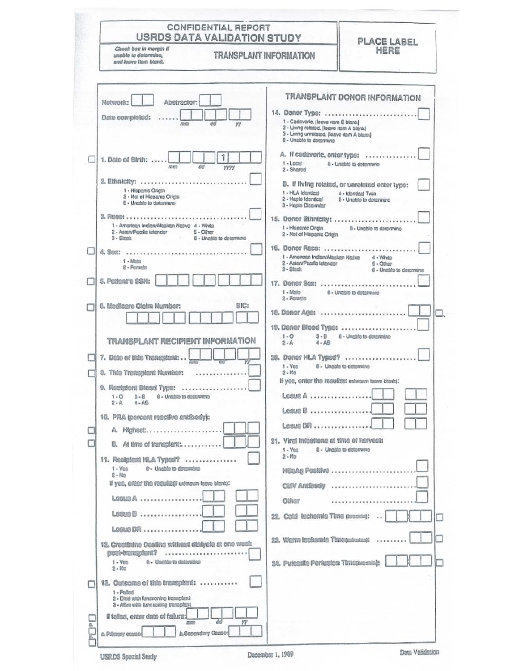|   | <b>CONFIDENTIAL REPORT</b><br><b>USRDS DATA VALIDATION STUDY</b>                                                                              |                                                                                                                                                                             | PLACE LABEL                                                                                     |  |  |  |  |
|---|-----------------------------------------------------------------------------------------------------------------------------------------------|-----------------------------------------------------------------------------------------------------------------------------------------------------------------------------|-------------------------------------------------------------------------------------------------|--|--|--|--|
|   | Check box in mergin if<br><b>TRANSPLANT INFORMATION</b><br>unable to determine.<br>and lasva Itam blank.                                      | HERE                                                                                                                                                                        |                                                                                                 |  |  |  |  |
|   | Network:<br>Abstractor:<br>Date completed:<br>dd<br>mm<br>w                                                                                   | 14. Donor Type:<br>1 - Cadaveric, (leave item 8 blank)<br>2 - Living related, (leave item A blank)<br>3 - Living unretated, (leave itam A blank)<br>8 - Unable to datermine | TRANSPLANT DONOR INFORMATION                                                                    |  |  |  |  |
|   | 1. Date of Birth:<br>del<br>mm<br><b>VYYY</b>                                                                                                 | A. If cadaveric, enter type:<br>$1 -$ Local<br>2 - Shered                                                                                                                   | 8 - Ungbls to determine                                                                         |  |  |  |  |
|   | 2. Ethnicity:<br>1 - Hispanic Origin<br>2 - Not of Hiepanic Orlein<br>8 - Unable to determine                                                 | 1 - HLA Identical<br>2 - Haplo Identical<br>3 - Healo Dissimilar                                                                                                            | B. If living related, or unrelated enter type:<br>4 - Identical Twin<br>8 - Unable to determine |  |  |  |  |
|   | 3. RECO:<br>1 - American Indian/Alaskan Native 4 - White<br>2 - Asian/Pacific letander<br>5 - Other<br>3 - Filmeis<br>6 - Unable to determine | 15. Donor Ethnicity:<br>1 - Hispanic Origin<br>2 - Not of Hispania Origin                                                                                                   | 6 - Uneble to determine                                                                         |  |  |  |  |
|   | 4.800:<br>1 - Mato<br>2 - Fernslo                                                                                                             | 16. Donor Roco:<br>1 - American Indian/Alaskan Nasiye<br>2 - Asian/Pacific Islandor<br>$3 -$ Elgents                                                                        | 4 - Whim<br>$5 - Other$<br>8 - Unable to determine                                              |  |  |  |  |
|   | 5. Pettent's SSN:                                                                                                                             | 17. Donor Sex:<br>$1 -$ Mato                                                                                                                                                | 8 - Unable to determine                                                                         |  |  |  |  |
|   | BIC:<br>6. Medicare Claim Humber:                                                                                                             | 2 - Fernels<br>18. Donor Age:<br>19. Danor Blood Type:                                                                                                                      |                                                                                                 |  |  |  |  |
|   | TRANSPLANT RECIPIENT INFORMATION                                                                                                              | $1 - 0$<br>$3 - B$<br>$2 - A$<br>$4 - AB$                                                                                                                                   | 6 - Unable to determine                                                                         |  |  |  |  |
|   | 7. Date of this Transplant:<br>8. This Transplant Number:                                                                                     | 20. Danar HLA Typed?<br>$1 -$ Yen<br>$2 - MD$                                                                                                                               | 8 - Unable to determine                                                                         |  |  |  |  |
|   | 9. Recipiont Blood Type:<br>$1 - 0$<br>$3 - 8$<br>9 - Unable to determine<br>$2 - A$<br>$4 - AB$                                              | If yes, enter the results(it unknown leave blank):<br>$Loss@A$                                                                                                              |                                                                                                 |  |  |  |  |
|   | 10. PRA (percent resciive entiscov):<br>A. Highest                                                                                            | $L$ esus $\mathbb B$<br>$Loss 1 1 1 2 3 4$                                                                                                                                  |                                                                                                 |  |  |  |  |
|   | <b>B.</b> At time of transplant:                                                                                                              | 21. Viral infections at time of hervest:<br>$1 -$ Yes<br>$2 - N0$                                                                                                           | 8 - Unable to determine                                                                         |  |  |  |  |
|   | 11. Recipient NLA Typed?<br>e - Unable te determine<br>$1 - Yes$<br>$2 - Nn$                                                                  | <b>NBoAg Positive </b>                                                                                                                                                      |                                                                                                 |  |  |  |  |
|   | If yes, onter the resulted urinown leave blank):<br>Loss 0                                                                                    | <b>CI/V ARIBSSV</b><br><b>Other</b>                                                                                                                                         | <br>.                                                                                           |  |  |  |  |
|   | LOGUO D<br>$Longus BR$                                                                                                                        | 22. Cold lechemia Time (treate):                                                                                                                                            | $\rightarrow$                                                                                   |  |  |  |  |
|   | 12. Creatinine Decline without dialysis at one west:<br><b>Booktransplant?</b><br>8 - Unable to datemine<br>$1 - VEB$<br>$2  Rm$              | 23. Werrn lechamia Time(minutes):<br>24. Putentile Perlusion Timencomin):                                                                                                   |                                                                                                 |  |  |  |  |
|   | 13. Outcome of this transplant:<br>1 - Fallad<br>2 - Died with knotoning transplant<br>3 - ABve with functioning transplant                   |                                                                                                                                                                             |                                                                                                 |  |  |  |  |
| ê | Il falled, enter date of fallure:<br>yy<br>вø<br>27070<br><b>b. Secondary Counce</b><br>a. Primary esuco                                      |                                                                                                                                                                             |                                                                                                 |  |  |  |  |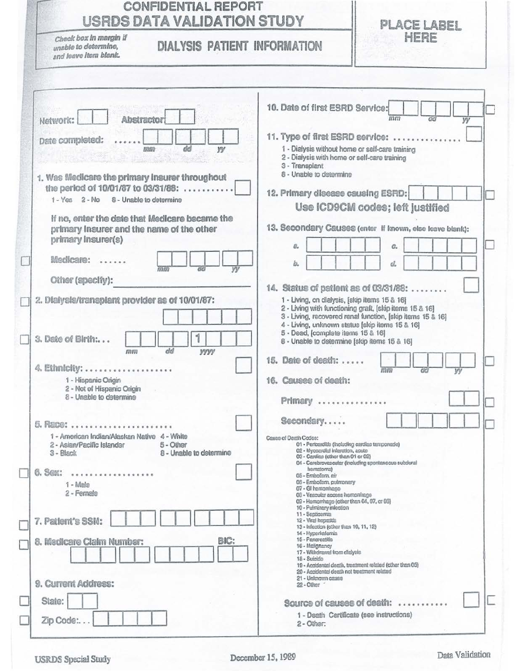| <b>USRDS DATA VALIDATION STUDY</b>                                                                                                            | PLACE LABEL                                                                                                                                                                                     |                                                                                                                                                                |  |  |  |  |  |  |
|-----------------------------------------------------------------------------------------------------------------------------------------------|-------------------------------------------------------------------------------------------------------------------------------------------------------------------------------------------------|----------------------------------------------------------------------------------------------------------------------------------------------------------------|--|--|--|--|--|--|
| Check box in margin if<br><b>DIALYSIS PATIENT INFORMATION</b><br>unable to determine,<br>and leave item blank.                                |                                                                                                                                                                                                 | HERE                                                                                                                                                           |  |  |  |  |  |  |
| Network:<br>Abstractor                                                                                                                        | 10. Date of first ESRD Service:                                                                                                                                                                 | mm                                                                                                                                                             |  |  |  |  |  |  |
| Date completed:<br>dd<br>W<br>昆带<br>1. Was Medicare the primary insurer throughout                                                            | 1 - Dialysis without home or self-care training<br>2 - Dialysis with home or self-care training<br>3 - Transplant<br>8 - Unable to determine                                                    | 11. Type of first ESRD service:                                                                                                                                |  |  |  |  |  |  |
| the period of 10/01/87 to 03/31/88:<br>1 - Yes 2 - No 8 - Unable to determine                                                                 | 12. Primary disease causing ESRD:                                                                                                                                                               | Use ICD9CM codes; left justified                                                                                                                               |  |  |  |  |  |  |
| If no, enter the date that Medicare became the<br>primary insurer and the name of the other<br>primary insurer(s)                             |                                                                                                                                                                                                 | 13. Secondary Causes (enter if known, else leave blank):<br>c.                                                                                                 |  |  |  |  |  |  |
| Medicare:<br>mm<br>Other (specify):                                                                                                           |                                                                                                                                                                                                 | d.                                                                                                                                                             |  |  |  |  |  |  |
| 2. Dialysis/transplant provider as of 10/01/87:<br>3. Date of Birth:                                                                          | 1 - Living, on dialysis, [skip items 15 & 16]<br>4 - Living, unknown status [skip items 15 & 16]<br>5 - Dead, [complete items 15 & 16]<br>8 - Unable to determine [skip items 15 & 16]          | 14. Status of patient as of 03/31/88:<br>2 - Living with functioning graft, [skip items 15 & 16]<br>3 - Living, recovered renal function, [skip items 15 & 16] |  |  |  |  |  |  |
| dd<br><b>VVVV</b><br><b>FRITT</b><br>4. Ethnicity:                                                                                            | 15. Date of death:                                                                                                                                                                              | <b>173 FTT</b>                                                                                                                                                 |  |  |  |  |  |  |
| 1 - Hispanic Origin<br>2 - Not of Hispanic Origin<br>8 - Unable to determine                                                                  | 16.  Causes of death:<br>Primary                                                                                                                                                                |                                                                                                                                                                |  |  |  |  |  |  |
| 5. Race:<br>1 - American Indian/Alaskan Native 4 - White<br>2 - Asian/Pacific Islander<br>5 - Other<br>8 - Unable to determine<br>$3 - Black$ | Secondary<br>Cause of Desth Codes:<br>01 - Pericarditis (Including cardiac tamponade)<br>02 - Mycoardial inferation, acute<br>03 - Cardian (other than 01 or 02)                                | 04 - Cerebrovascuter (including spontaneous subdural                                                                                                           |  |  |  |  |  |  |
| 6. Sex:<br><br>$1 -$ Malo<br>2 - Female                                                                                                       | hematoma)<br>05 - Erribolism, ein<br>06 - Embolism, pulmpnary<br>07 - GI hememhago<br>08 - Vescular access homorrhage<br>09 - Hemorrhage (other than 04, 07, or 03)<br>10 - Pulminary infection |                                                                                                                                                                |  |  |  |  |  |  |
| 7. Patient's SSN:                                                                                                                             | 11 - Septipemin<br>12 - Viral hopatitis<br>13 - Infection (other than 10, 11, 12)<br>14 - Hyperkalemia<br>15 - Pancreatitie                                                                     |                                                                                                                                                                |  |  |  |  |  |  |
| BIC:<br>8. Medicare Claim Number:                                                                                                             | 16 - Malignancy<br>17 - Withdrawal from dialysis<br>18 - Suícido<br>20 - Accidental death not treatment related<br>21 - Unimown cause                                                           | 19 - Acoldental death, treatment related (other than 05)                                                                                                       |  |  |  |  |  |  |
| 9. Current Address:                                                                                                                           | 22 - Other                                                                                                                                                                                      |                                                                                                                                                                |  |  |  |  |  |  |
| State:                                                                                                                                        |                                                                                                                                                                                                 | Source of causes of death:                                                                                                                                     |  |  |  |  |  |  |
| Zip Code:                                                                                                                                     | 2 - Other:                                                                                                                                                                                      | 1 - Death Certificate (see instructions)                                                                                                                       |  |  |  |  |  |  |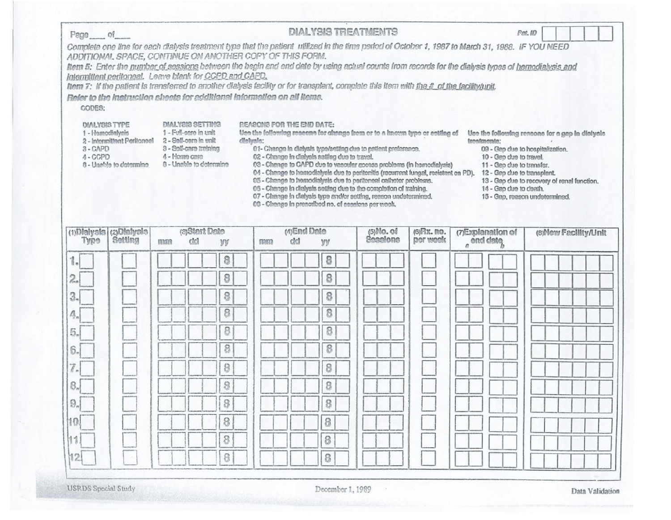| $Page$ of                                                        |                                                                                                                                                                                                                                                                                                                                                                                                                                                                                                                                                                            |               |                                                                                                                         |   |                                        |        |                     |                                                | <b>DIALYSIS TREATMENTS</b>                                                                                                                                                                                                                                                                                                                                                                                                                                                                                                                                                          |                         |                                                                                                                                                                                                                                                                                                      | Pot. 10 |                       |
|------------------------------------------------------------------|----------------------------------------------------------------------------------------------------------------------------------------------------------------------------------------------------------------------------------------------------------------------------------------------------------------------------------------------------------------------------------------------------------------------------------------------------------------------------------------------------------------------------------------------------------------------------|---------------|-------------------------------------------------------------------------------------------------------------------------|---|----------------------------------------|--------|---------------------|------------------------------------------------|-------------------------------------------------------------------------------------------------------------------------------------------------------------------------------------------------------------------------------------------------------------------------------------------------------------------------------------------------------------------------------------------------------------------------------------------------------------------------------------------------------------------------------------------------------------------------------------|-------------------------|------------------------------------------------------------------------------------------------------------------------------------------------------------------------------------------------------------------------------------------------------------------------------------------------------|---------|-----------------------|
|                                                                  | Complete one line for each dialysis treatment type that the patient utilized in the time period of October 1, 1987 to March 31, 1988. IF YOU NEED<br>ADDITIONAL SPACE, CONTINUE ON ANOTHER COPY OF THIS FORM.<br>ltem 5: Enter the number of sessions between the begin and end date by using actual counts from records for the dialysis types of hemodialysis and<br>Intermittent peritoneal. Leave blank for CCPD and CAPD.<br>hem 7: If the patient is transferred to another dialysis facility or for transplant, complete this item with the # of the facility/unit. |               |                                                                                                                         |   |                                        |        |                     |                                                |                                                                                                                                                                                                                                                                                                                                                                                                                                                                                                                                                                                     |                         |                                                                                                                                                                                                                                                                                                      |         |                       |
| CODES:                                                           | Refer to the instruction sheets for additional information on all items.                                                                                                                                                                                                                                                                                                                                                                                                                                                                                                   |               |                                                                                                                         |   |                                        |        |                     |                                                |                                                                                                                                                                                                                                                                                                                                                                                                                                                                                                                                                                                     |                         |                                                                                                                                                                                                                                                                                                      |         |                       |
| <b>DIALYSIS TYPE</b><br>1 - Hemodialysis<br>3-CAPD<br>$A - CCPD$ | 2 - Intermittent Peritoneel<br>8 - Unable to determine                                                                                                                                                                                                                                                                                                                                                                                                                                                                                                                     | 4 - Home care | DIALYSIS SETTING<br>1 - Full-care in unit<br>2 - Self-care in unit<br>3 - Solf-oare training<br>8 - Unable to determine |   | REASONS FOR THE END DATE:<br>dinhysis: |        |                     | 02 - Change in dialysis astting due to travel. | tice the following reseens for change from or to a known type or cetting of<br>01- Change in dielysis type/setting due to patient preference.<br>03 - Change to CAPD due to vascular access problems (in hemodialysis)<br>04 - Change to hemodialysis due to peritonitis (recurrent fungal, resistant on PD).<br>05 - Change to hemodialysis due to peritoneal catheter problems.<br>06 - Change in dialysis setting due to the completion of training.<br>07 - Change in dialysis type and/or setting, reason undetermined.<br>08 - Change in prescribed no. of aessions per week. |                         | Use the following respons for a gap in dialysis<br>treatments:<br>09 - Gap due to hospitalization.<br>10 - Geo due to travel.<br>11 - Gap due to transfer.<br>12 - Geo due to transplant.<br>13 - Gap due to recovery of renal function.<br>14 - Gap due to death.<br>15 - Gap, reason undetermined. |         |                       |
| $(1)$ Blaiysis<br>Type                                           | (2) Dialysis<br>Settlag                                                                                                                                                                                                                                                                                                                                                                                                                                                                                                                                                    | mmm           | (3)Start Date<br>cici                                                                                                   | W |                                        | 569620 | (4) End Date<br>chd | W                                              | (5) No. of<br>Sessions                                                                                                                                                                                                                                                                                                                                                                                                                                                                                                                                                              | (6) Rx. no.<br>per week | (7)Explanation of<br>a <sup>ond</sup> date                                                                                                                                                                                                                                                           |         | (8) New Facility/Unit |
|                                                                  |                                                                                                                                                                                                                                                                                                                                                                                                                                                                                                                                                                            |               |                                                                                                                         | 8 |                                        |        |                     | 8                                              |                                                                                                                                                                                                                                                                                                                                                                                                                                                                                                                                                                                     |                         |                                                                                                                                                                                                                                                                                                      |         |                       |
| 2.                                                               |                                                                                                                                                                                                                                                                                                                                                                                                                                                                                                                                                                            |               |                                                                                                                         | 8 |                                        |        |                     | 8                                              |                                                                                                                                                                                                                                                                                                                                                                                                                                                                                                                                                                                     |                         |                                                                                                                                                                                                                                                                                                      |         |                       |
| З.                                                               |                                                                                                                                                                                                                                                                                                                                                                                                                                                                                                                                                                            |               |                                                                                                                         | 8 |                                        |        |                     | 8                                              |                                                                                                                                                                                                                                                                                                                                                                                                                                                                                                                                                                                     |                         |                                                                                                                                                                                                                                                                                                      |         |                       |
| 4.                                                               |                                                                                                                                                                                                                                                                                                                                                                                                                                                                                                                                                                            |               |                                                                                                                         | 8 |                                        |        |                     | 8                                              |                                                                                                                                                                                                                                                                                                                                                                                                                                                                                                                                                                                     |                         |                                                                                                                                                                                                                                                                                                      |         |                       |
| 5,                                                               |                                                                                                                                                                                                                                                                                                                                                                                                                                                                                                                                                                            |               |                                                                                                                         | 8 |                                        |        |                     | 8                                              |                                                                                                                                                                                                                                                                                                                                                                                                                                                                                                                                                                                     |                         |                                                                                                                                                                                                                                                                                                      |         |                       |
| 6.                                                               |                                                                                                                                                                                                                                                                                                                                                                                                                                                                                                                                                                            |               |                                                                                                                         | 8 |                                        |        |                     | 8                                              |                                                                                                                                                                                                                                                                                                                                                                                                                                                                                                                                                                                     |                         |                                                                                                                                                                                                                                                                                                      |         |                       |
|                                                                  |                                                                                                                                                                                                                                                                                                                                                                                                                                                                                                                                                                            |               |                                                                                                                         | 8 |                                        |        |                     | 8                                              |                                                                                                                                                                                                                                                                                                                                                                                                                                                                                                                                                                                     |                         |                                                                                                                                                                                                                                                                                                      |         |                       |
|                                                                  |                                                                                                                                                                                                                                                                                                                                                                                                                                                                                                                                                                            |               |                                                                                                                         | 8 |                                        |        |                     | 8                                              |                                                                                                                                                                                                                                                                                                                                                                                                                                                                                                                                                                                     |                         |                                                                                                                                                                                                                                                                                                      |         |                       |
|                                                                  |                                                                                                                                                                                                                                                                                                                                                                                                                                                                                                                                                                            |               |                                                                                                                         |   |                                        |        |                     |                                                |                                                                                                                                                                                                                                                                                                                                                                                                                                                                                                                                                                                     |                         |                                                                                                                                                                                                                                                                                                      |         |                       |
|                                                                  |                                                                                                                                                                                                                                                                                                                                                                                                                                                                                                                                                                            |               |                                                                                                                         | 8 |                                        |        |                     | 8                                              |                                                                                                                                                                                                                                                                                                                                                                                                                                                                                                                                                                                     |                         |                                                                                                                                                                                                                                                                                                      |         |                       |
|                                                                  |                                                                                                                                                                                                                                                                                                                                                                                                                                                                                                                                                                            |               |                                                                                                                         |   |                                        |        |                     | 8                                              |                                                                                                                                                                                                                                                                                                                                                                                                                                                                                                                                                                                     |                         |                                                                                                                                                                                                                                                                                                      |         |                       |
|                                                                  |                                                                                                                                                                                                                                                                                                                                                                                                                                                                                                                                                                            |               |                                                                                                                         |   |                                        |        |                     | 8                                              |                                                                                                                                                                                                                                                                                                                                                                                                                                                                                                                                                                                     |                         |                                                                                                                                                                                                                                                                                                      |         |                       |
|                                                                  |                                                                                                                                                                                                                                                                                                                                                                                                                                                                                                                                                                            |               |                                                                                                                         |   |                                        |        |                     |                                                |                                                                                                                                                                                                                                                                                                                                                                                                                                                                                                                                                                                     |                         |                                                                                                                                                                                                                                                                                                      |         |                       |

**USRDS** Special Study

 $\mathbf{u}$ 

Data Validation